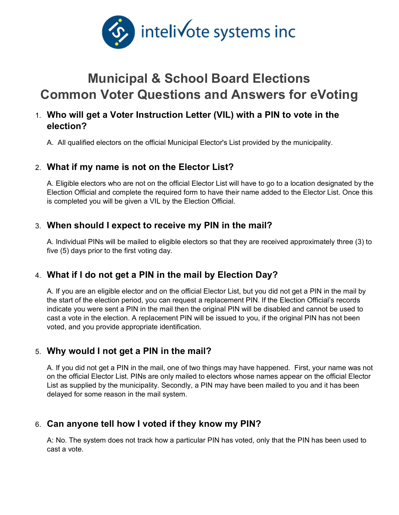

# **Municipal & School Board Elections Common Voter Questions and Answers for eVoting**

# 1. **Who will get a Voter Instruction Letter (VIL) with a PIN to vote in the election?**

A. All qualified electors on the official Municipal Elector's List provided by the municipality.

#### 2. **What if my name is not on the Elector List?**

A. Eligible electors who are not on the official Elector List will have to go to a location designated by the Election Official and complete the required form to have their name added to the Elector List. Once this is completed you will be given a VIL by the Election Official.

#### 3. **When should I expect to receive my PIN in the mail?**

A. Individual PINs will be mailed to eligible electors so that they are received approximately three (3) to five (5) days prior to the first voting day.

## 4. **What if I do not get a PIN in the mail by Election Day?**

A. If you are an eligible elector and on the official Elector List, but you did not get a PIN in the mail by the start of the election period, you can request a replacement PIN. If the Election Official's records indicate you were sent a PIN in the mail then the original PIN will be disabled and cannot be used to cast a vote in the election. A replacement PIN will be issued to you, if the original PIN has not been voted, and you provide appropriate identification.

## 5. **Why would I not get a PIN in the mail?**

A. If you did not get a PIN in the mail, one of two things may have happened. First, your name was not on the official Elector List. PINs are only mailed to electors whose names appear on the official Elector List as supplied by the municipality. Secondly, a PIN may have been mailed to you and it has been delayed for some reason in the mail system.

## 6. **Can anyone tell how I voted if they know my PIN?**

A: No. The system does not track how a particular PIN has voted, only that the PIN has been used to cast a vote.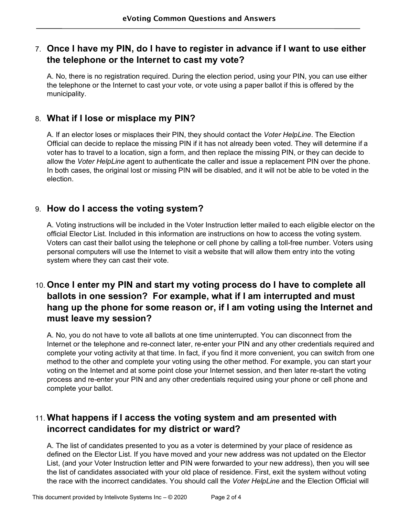# 7. **Once I have my PIN, do I have to register in advance if I want to use either the telephone or the Internet to cast my vote?**

A. No, there is no registration required. During the election period, using your PIN, you can use either the telephone or the Internet to cast your vote, or vote using a paper ballot if this is offered by the municipality.

#### 8. **What if I lose or misplace my PIN?**

A. If an elector loses or misplaces their PIN, they should contact the *Voter HelpLine*. The Election Official can decide to replace the missing PIN if it has not already been voted. They will determine if a voter has to travel to a location, sign a form, and then replace the missing PIN, or they can decide to allow the *Voter HelpLine* agent to authenticate the caller and issue a replacement PIN over the phone. In both cases, the original lost or missing PIN will be disabled, and it will not be able to be voted in the election.

#### 9. **How do I access the voting system?**

A. Voting instructions will be included in the Voter Instruction letter mailed to each eligible elector on the official Elector List. Included in this information are instructions on how to access the voting system. Voters can cast their ballot using the telephone or cell phone by calling a toll-free number. Voters using personal computers will use the Internet to visit a website that will allow them entry into the voting system where they can cast their vote.

# 10. **Once I enter my PIN and start my voting process do I have to complete all ballots in one session? For example, what if I am interrupted and must hang up the phone for some reason or, if I am voting using the Internet and must leave my session?**

A. No, you do not have to vote all ballots at one time uninterrupted. You can disconnect from the Internet or the telephone and re-connect later, re-enter your PIN and any other credentials required and complete your voting activity at that time. In fact, if you find it more convenient, you can switch from one method to the other and complete your voting using the other method. For example, you can start your voting on the Internet and at some point close your Internet session, and then later re-start the voting process and re-enter your PIN and any other credentials required using your phone or cell phone and complete your ballot.

# 11. **What happens if I access the voting system and am presented with incorrect candidates for my district or ward?**

A. The list of candidates presented to you as a voter is determined by your place of residence as defined on the Elector List. If you have moved and your new address was not updated on the Elector List, (and your Voter Instruction letter and PIN were forwarded to your new address), then you will see the list of candidates associated with your old place of residence. First, exit the system without voting the race with the incorrect candidates. You should call the *Voter HelpLine* and the Election Official will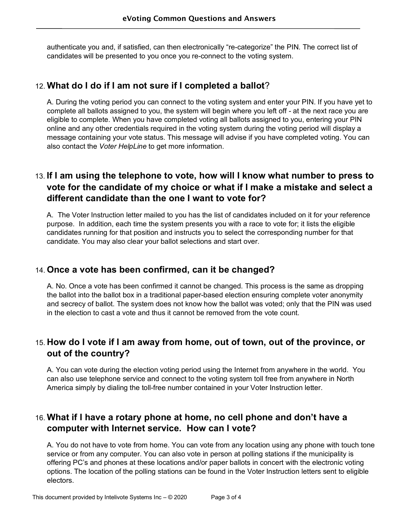authenticate you and, if satisfied, can then electronically "re-categorize" the PIN. The correct list of candidates will be presented to you once you re-connect to the voting system.

#### 12. **What do I do if I am not sure if I completed a ballot**?

A. During the voting period you can connect to the voting system and enter your PIN. If you have yet to complete all ballots assigned to you, the system will begin where you left off - at the next race you are eligible to complete. When you have completed voting all ballots assigned to you, entering your PIN online and any other credentials required in the voting system during the voting period will display a message containing your vote status. This message will advise if you have completed voting. You can also contact the *Voter HelpLine* to get more information.

# 13. **If I am using the telephone to vote, how will I know what number to press to vote for the candidate of my choice or what if I make a mistake and select a different candidate than the one I want to vote for?**

A. The Voter Instruction letter mailed to you has the list of candidates included on it for your reference purpose. In addition, each time the system presents you with a race to vote for; it lists the eligible candidates running for that position and instructs you to select the corresponding number for that candidate. You may also clear your ballot selections and start over.

#### 14. **Once a vote has been confirmed, can it be changed?**

A. No. Once a vote has been confirmed it cannot be changed. This process is the same as dropping the ballot into the ballot box in a traditional paper-based election ensuring complete voter anonymity and secrecy of ballot. The system does not know how the ballot was voted; only that the PIN was used in the election to cast a vote and thus it cannot be removed from the vote count.

## 15. **How do I vote if I am away from home, out of town, out of the province, or out of the country?**

A. You can vote during the election voting period using the Internet from anywhere in the world. You can also use telephone service and connect to the voting system toll free from anywhere in North America simply by dialing the toll-free number contained in your Voter Instruction letter.

# 16. **What if I have a rotary phone at home, no cell phone and don't have a computer with Internet service. How can I vote?**

A. You do not have to vote from home. You can vote from any location using any phone with touch tone service or from any computer. You can also vote in person at polling stations if the municipality is offering PC's and phones at these locations and/or paper ballots in concert with the electronic voting options. The location of the polling stations can be found in the Voter Instruction letters sent to eligible electors.